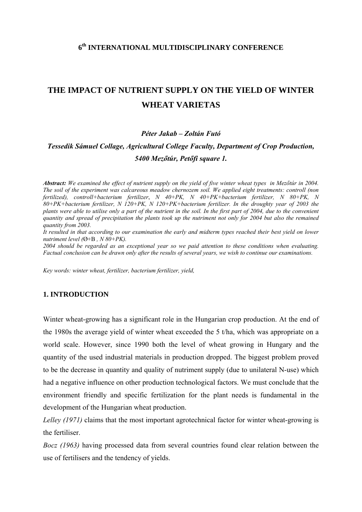# **6th INTERNATIONAL MULTIDISCIPLINARY CONFERENCE**

# **THE IMPACT OF NUTRIENT SUPPLY ON THE YIELD OF WINTER WHEAT VARIETAS**

#### *Péter Jakab – Zoltán Futó*

# *Tessedik Sámuel Collage, Agricultural College Faculty, Department of Crop Production, 5400 Mezőtúr, Petőfi square 1.*

*Abstract: We examined the effect of nutrient supply on the yield of five winter wheat types in Mezőtúr in 2004. The soil of the experiment was calcareous meadow chernozem soil. We applied eight treatments: controll (non fertilized), controll+bacterium fertilizer*, *N 40+PK, N 40+PK+bacterium fertilizer, N 80+PK, N 80+PK+bacterium fertilizer, N 120+PK, N 120+PK+bacterium fertilizer. In the droughty year of 2003 the plants were able to utilise only a part of the nutrient in the soil. In the first part of 2004, due to the convenient quantity and spread of precipitation the plants took up the nutriment not only for 2004 but also the remained quantity from 2003.* 

*It resulted in that according to our examination the early and midterm types reached their best yield on lower nutriment level (*Ø+B *, N 80+PK).* 

*2004 should be regarded as an exceptional year so we paid attention to these conditions when evaluating. Factual conclusion can be drawn only after the results of several years, we wish to continue our examinations.* 

*Key words: winter wheat, fertilizer, bacterium fertilizer, yield,* 

#### **1. INTRODUCTION**

Winter wheat-growing has a significant role in the Hungarian crop production. At the end of the 1980s the average yield of winter wheat exceeded the 5 t/ha, which was appropriate on a world scale. However, since 1990 both the level of wheat growing in Hungary and the quantity of the used industrial materials in production dropped. The biggest problem proved to be the decrease in quantity and quality of nutriment supply (due to unilateral N-use) which had a negative influence on other production technological factors. We must conclude that the environment friendly and specific fertilization for the plant needs is fundamental in the development of the Hungarian wheat production.

*Lelley (1971)* claims that the most important agrotechnical factor for winter wheat-growing is the fertiliser.

*Bocz (1963)* having processed data from several countries found clear relation between the use of fertilisers and the tendency of yields.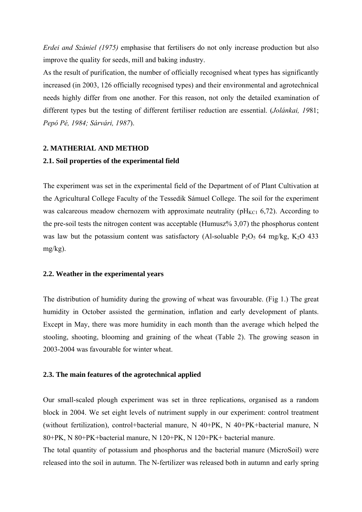*Erdei and Szániel (1975)* emphasise that fertilisers do not only increase production but also improve the quality for seeds, mill and baking industry.

As the result of purification, the number of officially recognised wheat types has significantly increased (in 2003, 126 officially recognised types) and their environmental and agrotechnical needs highly differ from one another. For this reason, not only the detailed examination of different types but the testing of different fertiliser reduction are essential. (*Jolánkai, 19*81; *Pepó Pé, 1984; Sárvári, 1987*).

#### **2. MATHERIAL AND METHOD**

#### **2.1. Soil properties of the experimental field**

The experiment was set in the experimental field of the Department of of Plant Cultivation at the Agricultural College Faculty of the Tessedik Sámuel College. The soil for the experiment was calcareous meadow chernozem with approximate neutrality ( $pH_{KCl}$  6,72). According to the pre-soil tests the nitrogen content was acceptable (Humusz% 3,07) the phosphorus content was law but the potassium content was satisfactory (Al-soluable  $P_2O_5$  64 mg/kg, K<sub>2</sub>O 433 mg/kg).

#### **2.2. Weather in the experimental years**

The distribution of humidity during the growing of wheat was favourable. (Fig 1.) The great humidity in October assisted the germination, inflation and early development of plants. Except in May, there was more humidity in each month than the average which helped the stooling, shooting, blooming and graining of the wheat (Table 2). The growing season in 2003-2004 was favourable for winter wheat.

#### **2.3. The main features of the agrotechnical applied**

Our small-scaled plough experiment was set in three replications, organised as a random block in 2004. We set eight levels of nutriment supply in our experiment: control treatment (without fertilization), control+bacterial manure, N 40+PK, N 40+PK+bacterial manure, N 80+PK, N 80+PK+bacterial manure, N 120+PK, N 120+PK+ bacterial manure.

The total quantity of potassium and phosphorus and the bacterial manure (MicroSoil) were released into the soil in autumn. The N-fertilizer was released both in autumn and early spring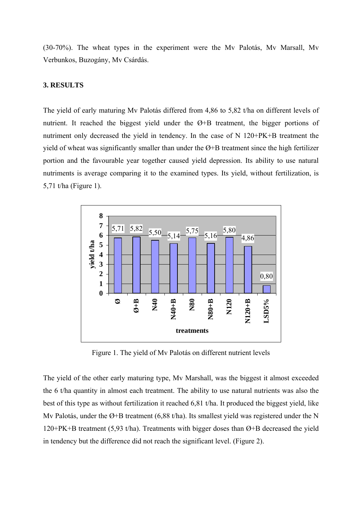(30-70%). The wheat types in the experiment were the Mv Palotás, Mv Marsall, Mv Verbunkos, Buzogány, Mv Csárdás.

## **3. RESULTS**

The yield of early maturing Mv Palotás differed from 4,86 to 5,82 t/ha on different levels of nutrient. It reached the biggest yield under the Ø+B treatment, the bigger portions of nutriment only decreased the yield in tendency. In the case of N 120+PK+B treatment the yield of wheat was significantly smaller than under the Ø+B treatment since the high fertilizer portion and the favourable year together caused yield depression. Its ability to use natural nutriments is average comparing it to the examined types. Its yield, without fertilization, is 5,71 t/ha (Figure 1).



Figure 1. The yield of Mv Palotás on different nutrient levels

The yield of the other early maturing type, Mv Marshall, was the biggest it almost exceeded the 6 t/ha quantity in almost each treatment. The ability to use natural nutrients was also the best of this type as without fertilization it reached 6,81 t/ha. It produced the biggest yield, like My Palotás, under the Ø+B treatment (6,88 t/ha). Its smallest yield was registered under the N 120+PK+B treatment (5,93 t/ha). Treatments with bigger doses than Ø+B decreased the yield in tendency but the difference did not reach the significant level. (Figure 2).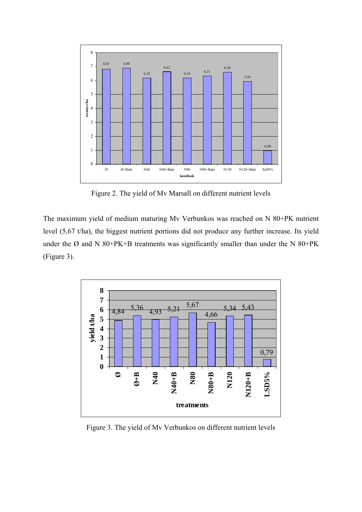

Figure 2. The yield of Mv Marsall on different nutrient levels

The maximum yield of medium maturing Mv Verbunkos was reached on N 80+PK nutrient level (5,67 t/ha), the biggest nutrient portions did not produce any further increase. Its yield under the Ø and N 80+PK+B treatments was significantly smaller than under the N 80+PK (Figure 3).



Figure 3. The yield of Mv Verbunkos on different nutrient levels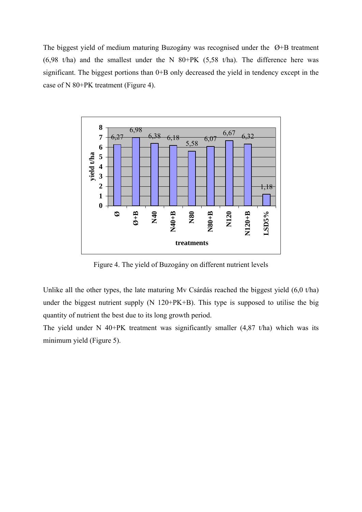The biggest yield of medium maturing Buzogány was recognised under the Ø+B treatment  $(6,98 \text{ t/ha})$  and the smallest under the N 80+PK (5,58 t/ha). The difference here was significant. The biggest portions than 0+B only decreased the yield in tendency except in the case of N 80+PK treatment (Figure 4).



Figure 4. The yield of Buzogány on different nutrient levels

Unlike all the other types, the late maturing Mv Csárdás reached the biggest yield (6,0 t/ha) under the biggest nutrient supply (N 120+PK+B). This type is supposed to utilise the big quantity of nutrient the best due to its long growth period.

The yield under N 40+PK treatment was significantly smaller  $(4,87 \text{ t/ha})$  which was its minimum yield (Figure 5).